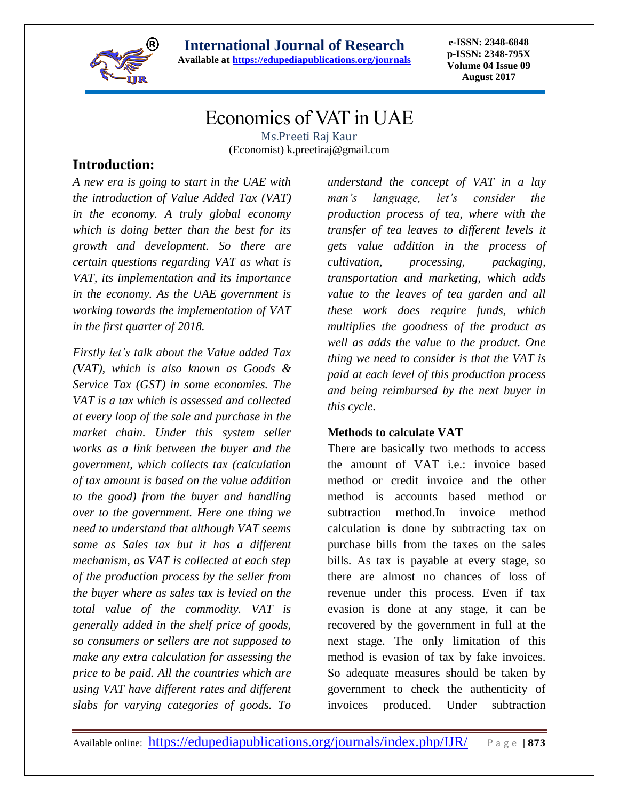

**e-ISSN: 2348-6848 p-ISSN: 2348-795X Volume 04 Issue 09 August 2017**

# Economics of VAT in UAE

Ms.Preeti Raj Kaur (Economist) k.preetiraj@gmail.com

## **Introduction:**

*A new era is going to start in the UAE with the introduction of Value Added Tax (VAT) in the economy. A truly global economy which is doing better than the best for its growth and development. So there are certain questions regarding VAT as what is VAT, its implementation and its importance in the economy. As the UAE government is working towards the implementation of VAT in the first quarter of 2018.*

*Firstly let's talk about the Value added Tax (VAT), which is also known as Goods & Service Tax (GST) in some economies. The VAT is a tax which is assessed and collected at every loop of the sale and purchase in the market chain. Under this system seller works as a link between the buyer and the government, which collects tax (calculation of tax amount is based on the value addition to the good) from the buyer and handling over to the government. Here one thing we need to understand that although VAT seems same as Sales tax but it has a different mechanism, as VAT is collected at each step of the production process by the seller from the buyer where as sales tax is levied on the total value of the commodity. VAT is generally added in the shelf price of goods, so consumers or sellers are not supposed to make any extra calculation for assessing the price to be paid. All the countries which are using VAT have different rates and different slabs for varying categories of goods. To* 

*understand the concept of VAT in a lay man's language, let's consider the production process of tea, where with the transfer of tea leaves to different levels it gets value addition in the process of cultivation, processing, packaging, transportation and marketing, which adds value to the leaves of tea garden and all these work does require funds, which multiplies the goodness of the product as well as adds the value to the product. One thing we need to consider is that the VAT is paid at each level of this production process and being reimbursed by the next buyer in this cycle.*

### **Methods to calculate VAT**

There are basically two methods to access the amount of VAT i.e.: invoice based method or credit invoice and the other method is accounts based method or subtraction method.In invoice method calculation is done by subtracting tax on purchase bills from the taxes on the sales bills. As tax is payable at every stage, so there are almost no chances of loss of revenue under this process. Even if tax evasion is done at any stage, it can be recovered by the government in full at the next stage. The only limitation of this method is evasion of tax by fake invoices. So adequate measures should be taken by government to check the authenticity of invoices produced. Under subtraction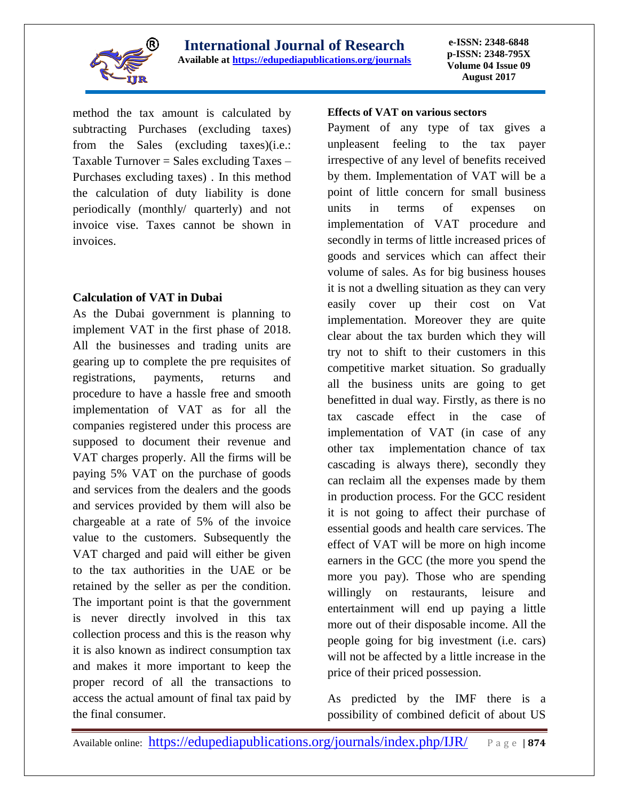

**e-ISSN: 2348-6848 p-ISSN: 2348-795X Volume 04 Issue 09 August 2017**

method the tax amount is calculated by subtracting Purchases (excluding taxes) from the Sales (excluding taxes)(i.e.: Taxable Turnover  $=$  Sales excluding Taxes  $-$ Purchases excluding taxes) . In this method the calculation of duty liability is done periodically (monthly/ quarterly) and not invoice vise. Taxes cannot be shown in invoices.

### **Calculation of VAT in Dubai**

As the Dubai government is planning to implement VAT in the first phase of 2018. All the businesses and trading units are gearing up to complete the pre requisites of registrations, payments, returns and procedure to have a hassle free and smooth implementation of VAT as for all the companies registered under this process are supposed to document their revenue and VAT charges properly. All the firms will be paying 5% VAT on the purchase of goods and services from the dealers and the goods and services provided by them will also be chargeable at a rate of 5% of the invoice value to the customers. Subsequently the VAT charged and paid will either be given to the tax authorities in the UAE or be retained by the seller as per the condition. The important point is that the government is never directly involved in this tax collection process and this is the reason why it is also known as indirect consumption tax and makes it more important to keep the proper record of all the transactions to access the actual amount of final tax paid by the final consumer.

#### **Effects of VAT on various sectors**

Payment of any type of tax gives a unpleasent feeling to the tax payer irrespective of any level of benefits received by them. Implementation of VAT will be a point of little concern for small business units in terms of expenses on implementation of VAT procedure and secondly in terms of little increased prices of goods and services which can affect their volume of sales. As for big business houses it is not a dwelling situation as they can very easily cover up their cost on Vat implementation. Moreover they are quite clear about the tax burden which they will try not to shift to their customers in this competitive market situation. So gradually all the business units are going to get benefitted in dual way. Firstly, as there is no tax cascade effect in the case of implementation of VAT (in case of any other tax implementation chance of tax cascading is always there), secondly they can reclaim all the expenses made by them in production process. For the GCC resident it is not going to affect their purchase of essential goods and health care services. The effect of VAT will be more on high income earners in the GCC (the more you spend the more you pay). Those who are spending willingly on restaurants, leisure and entertainment will end up paying a little more out of their disposable income. All the people going for big investment (i.e. cars) will not be affected by a little increase in the price of their priced possession.

As predicted by the IMF there is a possibility of combined deficit of about US